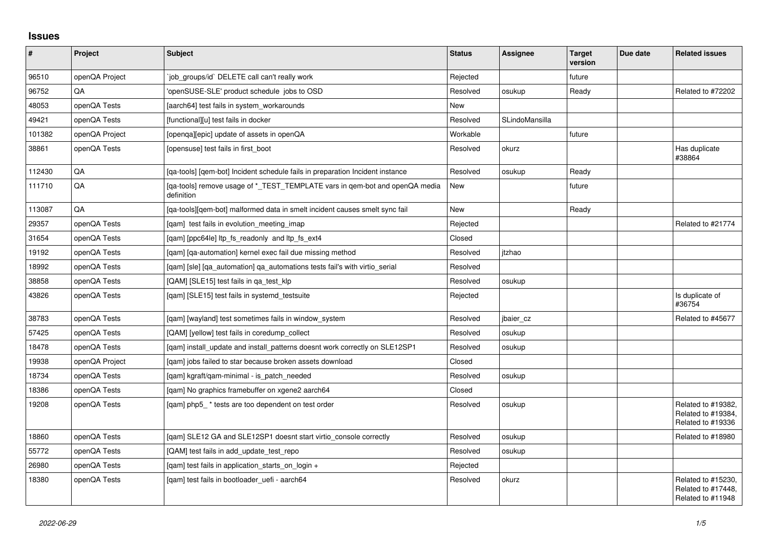## **Issues**

| $\vert$ # | <b>Project</b> | Subject                                                                                   | <b>Status</b> | <b>Assignee</b> | <b>Target</b><br>version | Due date | <b>Related issues</b>                                         |
|-----------|----------------|-------------------------------------------------------------------------------------------|---------------|-----------------|--------------------------|----------|---------------------------------------------------------------|
| 96510     | openQA Project | job groups/id` DELETE call can't really work                                              | Rejected      |                 | future                   |          |                                                               |
| 96752     | QA             | 'openSUSE-SLE' product schedule jobs to OSD                                               | Resolved      | osukup          | Ready                    |          | Related to #72202                                             |
| 48053     | openQA Tests   | [aarch64] test fails in system workarounds                                                | New           |                 |                          |          |                                                               |
| 49421     | openQA Tests   | [functional][u] test fails in docker                                                      | Resolved      | SLindoMansilla  |                          |          |                                                               |
| 101382    | openQA Project | [openqa][epic] update of assets in openQA                                                 | Workable      |                 | future                   |          |                                                               |
| 38861     | openQA Tests   | [opensuse] test fails in first boot                                                       | Resolved      | okurz           |                          |          | Has duplicate<br>#38864                                       |
| 112430    | QA             | [ga-tools] [gem-bot] Incident schedule fails in preparation Incident instance             | Resolved      | osukup          | Ready                    |          |                                                               |
| 111710    | QA             | [ga-tools] remove usage of * TEST TEMPLATE vars in gem-bot and openQA media<br>definition | New           |                 | future                   |          |                                                               |
| 113087    | QA             | [ga-tools][gem-bot] malformed data in smelt incident causes smelt sync fail               | <b>New</b>    |                 | Ready                    |          |                                                               |
| 29357     | openQA Tests   | [qam] test fails in evolution_meeting_imap                                                | Rejected      |                 |                          |          | Related to #21774                                             |
| 31654     | openQA Tests   | [gam] [ppc64le] ltp fs readonly and ltp fs ext4                                           | Closed        |                 |                          |          |                                                               |
| 19192     | openQA Tests   | [gam] [ga-automation] kernel exec fail due missing method                                 | Resolved      | itzhao          |                          |          |                                                               |
| 18992     | openQA Tests   | [qam] [sle] [qa_automation] qa_automations tests fail's with virtio_serial                | Resolved      |                 |                          |          |                                                               |
| 38858     | openQA Tests   | [QAM] [SLE15] test fails in ga test klp                                                   | Resolved      | osukup          |                          |          |                                                               |
| 43826     | openQA Tests   | [qam] [SLE15] test fails in systemd_testsuite                                             | Rejected      |                 |                          |          | Is duplicate of<br>#36754                                     |
| 38783     | openQA Tests   | [qam] [wayland] test sometimes fails in window_system                                     | Resolved      | jbaier_cz       |                          |          | Related to #45677                                             |
| 57425     | openQA Tests   | [QAM] [yellow] test fails in coredump collect                                             | Resolved      | osukup          |                          |          |                                                               |
| 18478     | openQA Tests   | [gam] install update and install patterns doesnt work correctly on SLE12SP1               | Resolved      | osukup          |                          |          |                                                               |
| 19938     | openQA Project | [qam] jobs failed to star because broken assets download                                  | Closed        |                 |                          |          |                                                               |
| 18734     | openQA Tests   | [gam] kgraft/gam-minimal - is patch needed                                                | Resolved      | osukup          |                          |          |                                                               |
| 18386     | openQA Tests   | [qam] No graphics framebuffer on xgene2 aarch64                                           | Closed        |                 |                          |          |                                                               |
| 19208     | openQA Tests   | [gam] php5_* tests are too dependent on test order                                        | Resolved      | osukup          |                          |          | Related to #19382,<br>Related to #19384,<br>Related to #19336 |
| 18860     | openQA Tests   | [qam] SLE12 GA and SLE12SP1 doesnt start virtio_console correctly                         | Resolved      | osukup          |                          |          | Related to #18980                                             |
| 55772     | openQA Tests   | [QAM] test fails in add_update_test_repo                                                  | Resolved      | osukup          |                          |          |                                                               |
| 26980     | openQA Tests   | [gam] test fails in application starts on login +                                         | Rejected      |                 |                          |          |                                                               |
| 18380     | openQA Tests   | [gam] test fails in bootloader uefi - aarch64                                             | Resolved      | okurz           |                          |          | Related to #15230,<br>Related to #17448,<br>Related to #11948 |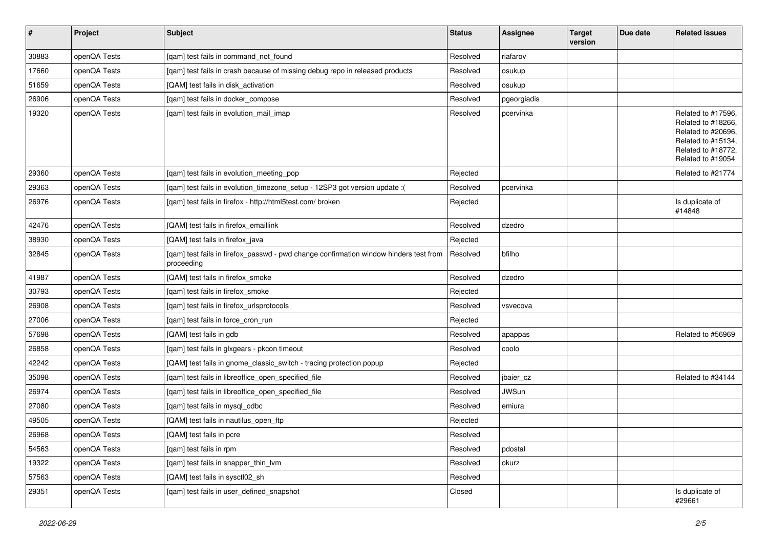| $\sharp$ | Project      | <b>Subject</b>                                                                                      | <b>Status</b> | Assignee     | <b>Target</b><br>version | Due date | <b>Related issues</b>                                                                                                           |
|----------|--------------|-----------------------------------------------------------------------------------------------------|---------------|--------------|--------------------------|----------|---------------------------------------------------------------------------------------------------------------------------------|
| 30883    | openQA Tests | [qam] test fails in command_not_found                                                               | Resolved      | riafarov     |                          |          |                                                                                                                                 |
| 17660    | openQA Tests | [qam] test fails in crash because of missing debug repo in released products                        | Resolved      | osukup       |                          |          |                                                                                                                                 |
| 51659    | openQA Tests | [QAM] test fails in disk_activation                                                                 | Resolved      | osukup       |                          |          |                                                                                                                                 |
| 26906    | openQA Tests | [qam] test fails in docker_compose                                                                  | Resolved      | pgeorgiadis  |                          |          |                                                                                                                                 |
| 19320    | openQA Tests | [qam] test fails in evolution_mail_imap                                                             | Resolved      | pcervinka    |                          |          | Related to #17596,<br>Related to #18266,<br>Related to #20696,<br>Related to #15134,<br>Related to #18772,<br>Related to #19054 |
| 29360    | openQA Tests | [qam] test fails in evolution_meeting_pop                                                           | Rejected      |              |                          |          | Related to #21774                                                                                                               |
| 29363    | openQA Tests | [qam] test fails in evolution_timezone_setup - 12SP3 got version update :(                          | Resolved      | pcervinka    |                          |          |                                                                                                                                 |
| 26976    | openQA Tests | [qam] test fails in firefox - http://html5test.com/ broken                                          | Rejected      |              |                          |          | Is duplicate of<br>#14848                                                                                                       |
| 42476    | openQA Tests | [QAM] test fails in firefox_emaillink                                                               | Resolved      | dzedro       |                          |          |                                                                                                                                 |
| 38930    | openQA Tests | [QAM] test fails in firefox java                                                                    | Rejected      |              |                          |          |                                                                                                                                 |
| 32845    | openQA Tests | [qam] test fails in firefox_passwd - pwd change confirmation window hinders test from<br>proceeding | Resolved      | bfilho       |                          |          |                                                                                                                                 |
| 41987    | openQA Tests | [QAM] test fails in firefox_smoke                                                                   | Resolved      | dzedro       |                          |          |                                                                                                                                 |
| 30793    | openQA Tests | [gam] test fails in firefox smoke                                                                   | Rejected      |              |                          |          |                                                                                                                                 |
| 26908    | openQA Tests | [gam] test fails in firefox urlsprotocols                                                           | Resolved      | vsvecova     |                          |          |                                                                                                                                 |
| 27006    | openQA Tests | [qam] test fails in force_cron_run                                                                  | Rejected      |              |                          |          |                                                                                                                                 |
| 57698    | openQA Tests | [QAM] test fails in gdb                                                                             | Resolved      | apappas      |                          |          | Related to #56969                                                                                                               |
| 26858    | openQA Tests | [qam] test fails in glxgears - pkcon timeout                                                        | Resolved      | coolo        |                          |          |                                                                                                                                 |
| 42242    | openQA Tests | [QAM] test fails in gnome_classic_switch - tracing protection popup                                 | Rejected      |              |                          |          |                                                                                                                                 |
| 35098    | openQA Tests | [qam] test fails in libreoffice_open_specified_file                                                 | Resolved      | jbaier_cz    |                          |          | Related to #34144                                                                                                               |
| 26974    | openQA Tests | [qam] test fails in libreoffice_open_specified_file                                                 | Resolved      | <b>JWSun</b> |                          |          |                                                                                                                                 |
| 27080    | openQA Tests | [qam] test fails in mysql_odbc                                                                      | Resolved      | emiura       |                          |          |                                                                                                                                 |
| 49505    | openQA Tests | [QAM] test fails in nautilus_open_ftp                                                               | Rejected      |              |                          |          |                                                                                                                                 |
| 26968    | openQA Tests | [QAM] test fails in pcre                                                                            | Resolved      |              |                          |          |                                                                                                                                 |
| 54563    | openQA Tests | [gam] test fails in rpm                                                                             | Resolved      | pdostal      |                          |          |                                                                                                                                 |
| 19322    | openQA Tests | [qam] test fails in snapper_thin_lvm                                                                | Resolved      | okurz        |                          |          |                                                                                                                                 |
| 57563    | openQA Tests | [QAM] test fails in sysctl02_sh                                                                     | Resolved      |              |                          |          |                                                                                                                                 |
| 29351    | openQA Tests | [qam] test fails in user_defined_snapshot                                                           | Closed        |              |                          |          | Is duplicate of<br>#29661                                                                                                       |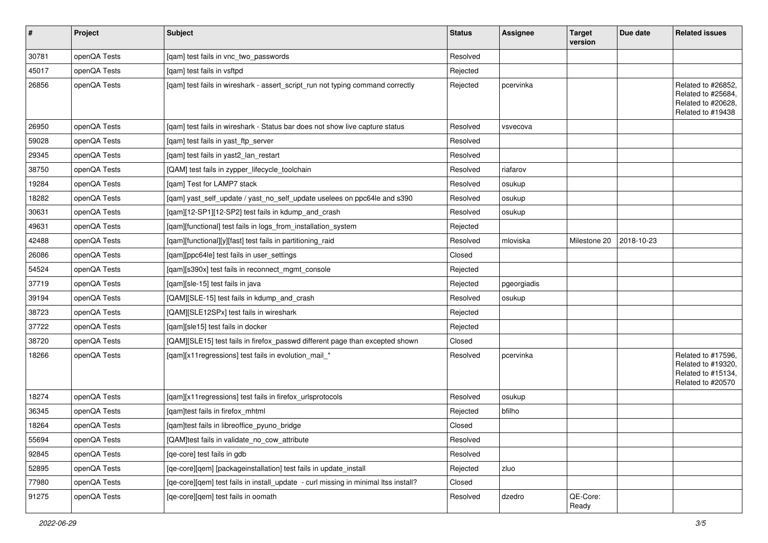| $\sharp$ | Project      | Subject                                                                             | <b>Status</b> | <b>Assignee</b> | <b>Target</b><br>version | Due date   | <b>Related issues</b>                                                               |
|----------|--------------|-------------------------------------------------------------------------------------|---------------|-----------------|--------------------------|------------|-------------------------------------------------------------------------------------|
| 30781    | openQA Tests | [qam] test fails in vnc_two_passwords                                               | Resolved      |                 |                          |            |                                                                                     |
| 45017    | openQA Tests | [gam] test fails in vsftpd                                                          | Rejected      |                 |                          |            |                                                                                     |
| 26856    | openQA Tests | [qam] test fails in wireshark - assert_script_run not typing command correctly      | Rejected      | pcervinka       |                          |            | Related to #26852,<br>Related to #25684,<br>Related to #20628,<br>Related to #19438 |
| 26950    | openQA Tests | [qam] test fails in wireshark - Status bar does not show live capture status        | Resolved      | vsvecova        |                          |            |                                                                                     |
| 59028    | openQA Tests | [qam] test fails in yast_ftp_server                                                 | Resolved      |                 |                          |            |                                                                                     |
| 29345    | openQA Tests | [qam] test fails in yast2_lan_restart                                               | Resolved      |                 |                          |            |                                                                                     |
| 38750    | openQA Tests | [QAM] test fails in zypper_lifecycle_toolchain                                      | Resolved      | riafarov        |                          |            |                                                                                     |
| 19284    | openQA Tests | [gam] Test for LAMP7 stack                                                          | Resolved      | osukup          |                          |            |                                                                                     |
| 18282    | openQA Tests | [qam] yast_self_update / yast_no_self_update uselees on ppc64le and s390            | Resolved      | osukup          |                          |            |                                                                                     |
| 30631    | openQA Tests | [qam][12-SP1][12-SP2] test fails in kdump_and_crash                                 | Resolved      | osukup          |                          |            |                                                                                     |
| 49631    | openQA Tests | [qam][functional] test fails in logs_from_installation_system                       | Rejected      |                 |                          |            |                                                                                     |
| 42488    | openQA Tests | [qam][functional][y][fast] test fails in partitioning_raid                          | Resolved      | mloviska        | Milestone 20             | 2018-10-23 |                                                                                     |
| 26086    | openQA Tests | [qam][ppc64le] test fails in user_settings                                          | Closed        |                 |                          |            |                                                                                     |
| 54524    | openQA Tests | [qam][s390x] test fails in reconnect_mgmt_console                                   | Rejected      |                 |                          |            |                                                                                     |
| 37719    | openQA Tests | [qam][sle-15] test fails in java                                                    | Rejected      | pgeorgiadis     |                          |            |                                                                                     |
| 39194    | openQA Tests | [QAM][SLE-15] test fails in kdump_and_crash                                         | Resolved      | osukup          |                          |            |                                                                                     |
| 38723    | openQA Tests | [QAM][SLE12SPx] test fails in wireshark                                             | Rejected      |                 |                          |            |                                                                                     |
| 37722    | openQA Tests | [qam][sle15] test fails in docker                                                   | Rejected      |                 |                          |            |                                                                                     |
| 38720    | openQA Tests | [QAM][SLE15] test fails in firefox_passwd different page than excepted shown        | Closed        |                 |                          |            |                                                                                     |
| 18266    | openQA Tests | [qam][x11 regressions] test fails in evolution_mail_*                               | Resolved      | pcervinka       |                          |            | Related to #17596,<br>Related to #19320,<br>Related to #15134,<br>Related to #20570 |
| 18274    | openQA Tests | [qam][x11 regressions] test fails in firefox_urlsprotocols                          | Resolved      | osukup          |                          |            |                                                                                     |
| 36345    | openQA Tests | [qam]test fails in firefox_mhtml                                                    | Rejected      | bfilho          |                          |            |                                                                                     |
| 18264    | openQA Tests | [qam]test fails in libreoffice_pyuno_bridge                                         | Closed        |                 |                          |            |                                                                                     |
| 55694    | openQA Tests | [QAM]test fails in validate_no_cow_attribute                                        | Resolved      |                 |                          |            |                                                                                     |
| 92845    | openQA Tests | [qe-core] test fails in gdb                                                         | Resolved      |                 |                          |            |                                                                                     |
| 52895    | openQA Tests | [qe-core][qem] [packageinstallation] test fails in update_install                   | Rejected      | zluo            |                          |            |                                                                                     |
| 77980    | openQA Tests | [qe-core][qem] test fails in install_update - curl missing in minimal Itss install? | Closed        |                 |                          |            |                                                                                     |
| 91275    | openQA Tests | [qe-core][qem] test fails in oomath                                                 | Resolved      | dzedro          | QE-Core:<br>Ready        |            |                                                                                     |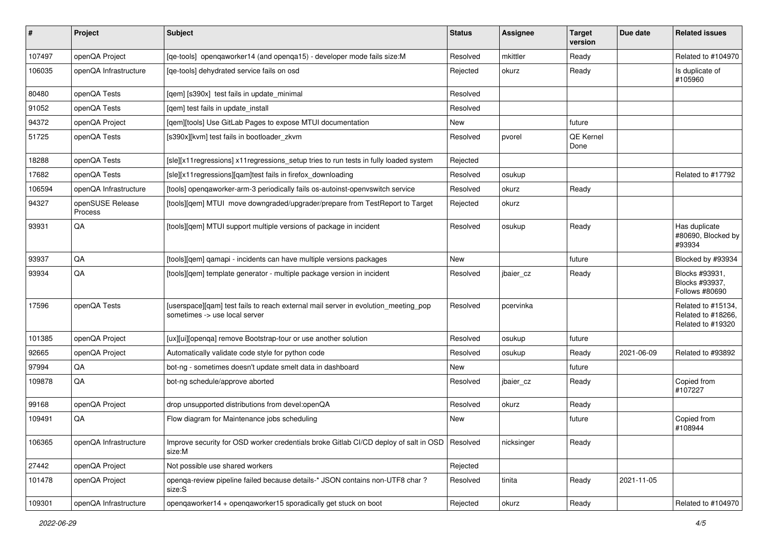| #      | Project                            | Subject                                                                                                             | <b>Status</b> | <b>Assignee</b> | <b>Target</b><br>version | Due date   | <b>Related issues</b>                                         |
|--------|------------------------------------|---------------------------------------------------------------------------------------------------------------------|---------------|-----------------|--------------------------|------------|---------------------------------------------------------------|
| 107497 | openQA Project                     | [qe-tools] openqaworker14 (and openqa15) - developer mode fails size: M                                             | Resolved      | mkittler        | Ready                    |            | Related to #104970                                            |
| 106035 | openQA Infrastructure              | [ge-tools] dehydrated service fails on osd                                                                          | Rejected      | okurz           | Ready                    |            | Is duplicate of<br>#105960                                    |
| 80480  | openQA Tests                       | [qem] [s390x] test fails in update_minimal                                                                          | Resolved      |                 |                          |            |                                                               |
| 91052  | openQA Tests                       | [gem] test fails in update install                                                                                  | Resolved      |                 |                          |            |                                                               |
| 94372  | openQA Project                     | [gem][tools] Use GitLab Pages to expose MTUI documentation                                                          | New           |                 | future                   |            |                                                               |
| 51725  | openQA Tests                       | [s390x][kvm] test fails in bootloader_zkvm                                                                          | Resolved      | pvorel          | QE Kernel<br>Done        |            |                                                               |
| 18288  | openQA Tests                       | [sle][x11regressions] x11regressions_setup tries to run tests in fully loaded system                                | Rejected      |                 |                          |            |                                                               |
| 17682  | openQA Tests                       | [sle][x11 regressions][gam]test fails in firefox downloading                                                        | Resolved      | osukup          |                          |            | Related to #17792                                             |
| 106594 | openQA Infrastructure              | [tools] opengaworker-arm-3 periodically fails os-autoinst-openvswitch service                                       | Resolved      | okurz           | Ready                    |            |                                                               |
| 94327  | openSUSE Release<br><b>Process</b> | [tools][qem] MTUI move downgraded/upgrader/prepare from TestReport to Target                                        | Rejected      | okurz           |                          |            |                                                               |
| 93931  | QA                                 | [tools][qem] MTUI support multiple versions of package in incident                                                  | Resolved      | osukup          | Ready                    |            | Has duplicate<br>#80690, Blocked by<br>#93934                 |
| 93937  | QA                                 | [tools][qem] qamapi - incidents can have multiple versions packages                                                 | New           |                 | future                   |            | Blocked by #93934                                             |
| 93934  | QA                                 | [tools][gem] template generator - multiple package version in incident                                              | Resolved      | jbaier cz       | Ready                    |            | Blocks #93931,<br>Blocks #93937,<br>Follows #80690            |
| 17596  | openQA Tests                       | [userspace][qam] test fails to reach external mail server in evolution_meeting_pop<br>sometimes -> use local server | Resolved      | pcervinka       |                          |            | Related to #15134,<br>Related to #18266.<br>Related to #19320 |
| 101385 | openQA Project                     | [ux][ui][openga] remove Bootstrap-tour or use another solution                                                      | Resolved      | osukup          | future                   |            |                                                               |
| 92665  | openQA Project                     | Automatically validate code style for python code                                                                   | Resolved      | osukup          | Ready                    | 2021-06-09 | Related to #93892                                             |
| 97994  | QA                                 | bot-ng - sometimes doesn't update smelt data in dashboard                                                           | New           |                 | future                   |            |                                                               |
| 109878 | QA                                 | bot-ng schedule/approve aborted                                                                                     | Resolved      | jbaier cz       | Ready                    |            | Copied from<br>#107227                                        |
| 99168  | openQA Project                     | drop unsupported distributions from devel:openQA                                                                    | Resolved      | okurz           | Ready                    |            |                                                               |
| 109491 | QA                                 | Flow diagram for Maintenance jobs scheduling                                                                        | New           |                 | future                   |            | Copied from<br>#108944                                        |
| 106365 | openQA Infrastructure              | Improve security for OSD worker credentials broke Gitlab CI/CD deploy of salt in OSD   Resolved<br>size:M           |               | nicksinger      | Ready                    |            |                                                               |
| 27442  | openQA Project                     | Not possible use shared workers                                                                                     | Rejected      |                 |                          |            |                                                               |
| 101478 | openQA Project                     | openga-review pipeline failed because details-* JSON contains non-UTF8 char?<br>size:S                              | Resolved      | tinita          | Ready                    | 2021-11-05 |                                                               |
| 109301 | openQA Infrastructure              | openqaworker14 + openqaworker15 sporadically get stuck on boot                                                      | Rejected      | okurz           | Ready                    |            | Related to #104970                                            |